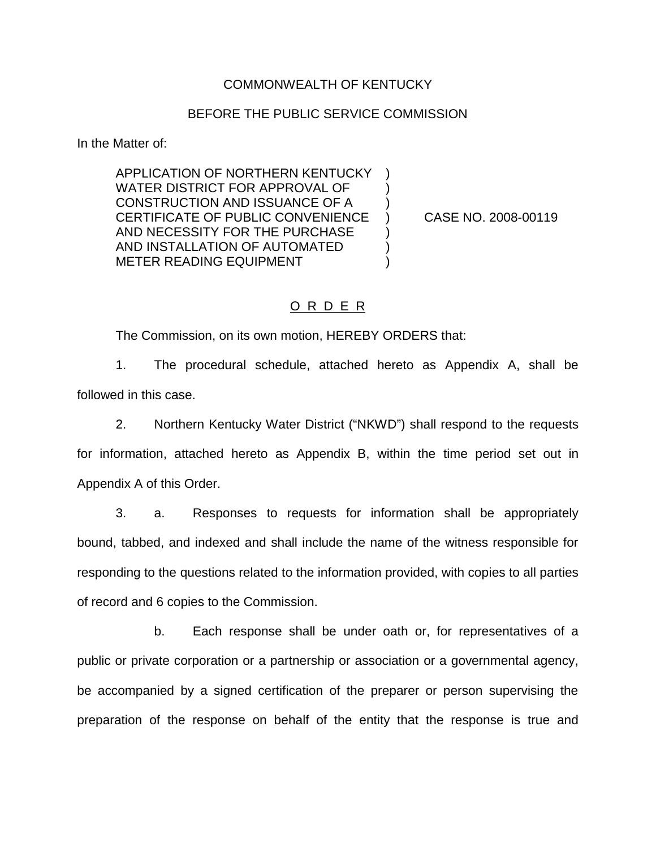### COMMONWEALTH OF KENTUCKY

### BEFORE THE PUBLIC SERVICE COMMISSION

In the Matter of:

APPLICATION OF NORTHERN KENTUCKY ) WATER DISTRICT FOR APPROVAL OF ) CONSTRUCTION AND ISSUANCE OF A ) CERTIFICATE OF PUBLIC CONVENIENCE ) CASE NO. 2008-00119 AND NECESSITY FOR THE PURCHASE ) AND INSTALLATION OF AUTOMATED ) METER READING EQUIPMENT

### O R D E R

The Commission, on its own motion, HEREBY ORDERS that:

1. The procedural schedule, attached hereto as Appendix A, shall be followed in this case.

2. Northern Kentucky Water District ("NKWD") shall respond to the requests for information, attached hereto as Appendix B, within the time period set out in Appendix A of this Order.

3. a. Responses to requests for information shall be appropriately bound, tabbed, and indexed and shall include the name of the witness responsible for responding to the questions related to the information provided, with copies to all parties of record and 6 copies to the Commission.

b. Each response shall be under oath or, for representatives of a public or private corporation or a partnership or association or a governmental agency, be accompanied by a signed certification of the preparer or person supervising the preparation of the response on behalf of the entity that the response is true and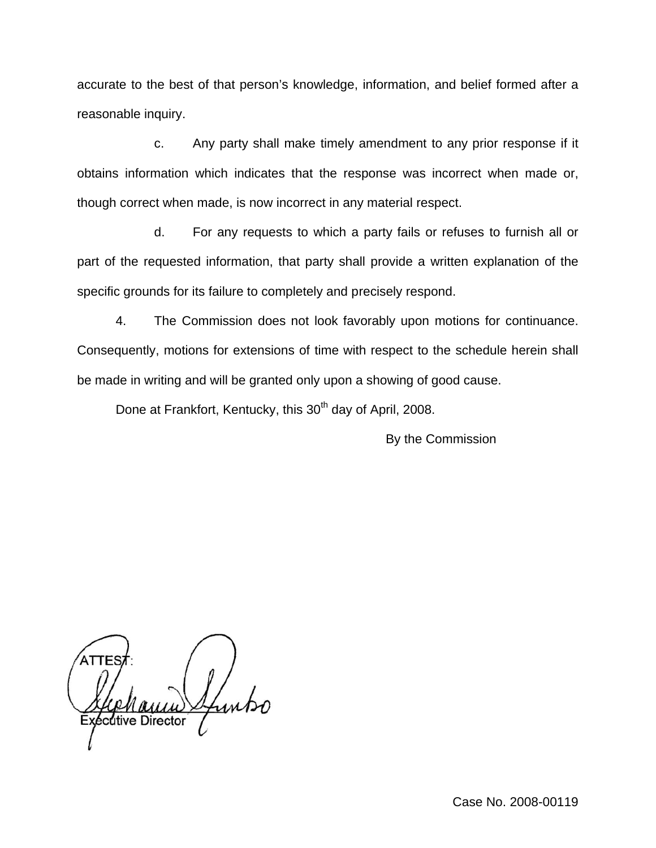accurate to the best of that person's knowledge, information, and belief formed after a reasonable inquiry.

c. Any party shall make timely amendment to any prior response if it obtains information which indicates that the response was incorrect when made or, though correct when made, is now incorrect in any material respect.

d. For any requests to which a party fails or refuses to furnish all or part of the requested information, that party shall provide a written explanation of the specific grounds for its failure to completely and precisely respond.

4. The Commission does not look favorably upon motions for continuance. Consequently, motions for extensions of time with respect to the schedule herein shall be made in writing and will be granted only upon a showing of good cause.

Done at Frankfort, Kentucky, this 30<sup>th</sup> day of April, 2008.

By the Commission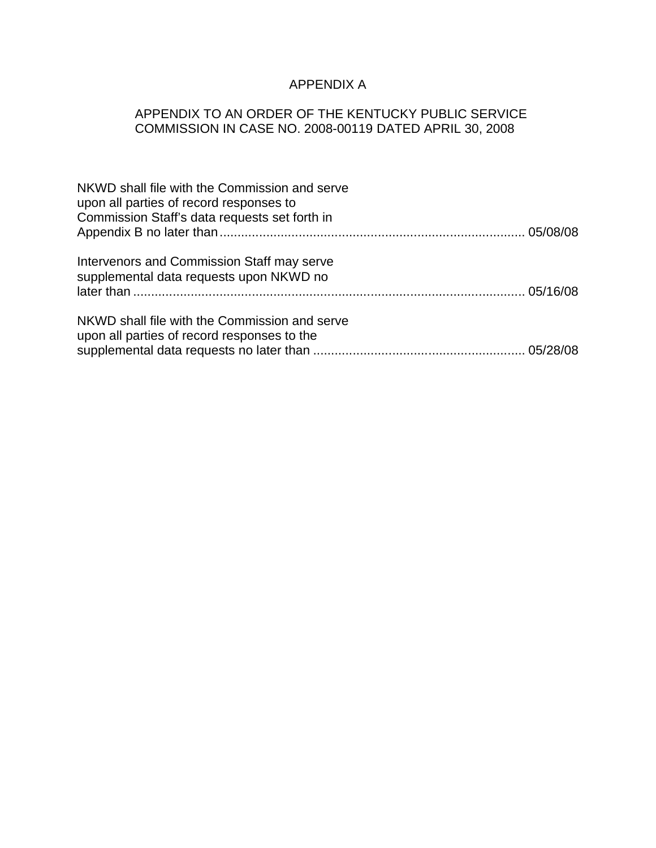# APPENDIX A

## APPENDIX TO AN ORDER OF THE KENTUCKY PUBLIC SERVICE COMMISSION IN CASE NO. 2008-00119 DATED APRIL 30, 2008

| NKWD shall file with the Commission and serve<br>upon all parties of record responses to<br>Commission Staff's data requests set forth in |  |
|-------------------------------------------------------------------------------------------------------------------------------------------|--|
| Intervenors and Commission Staff may serve<br>supplemental data requests upon NKWD no                                                     |  |
| NKWD shall file with the Commission and serve<br>upon all parties of record responses to the                                              |  |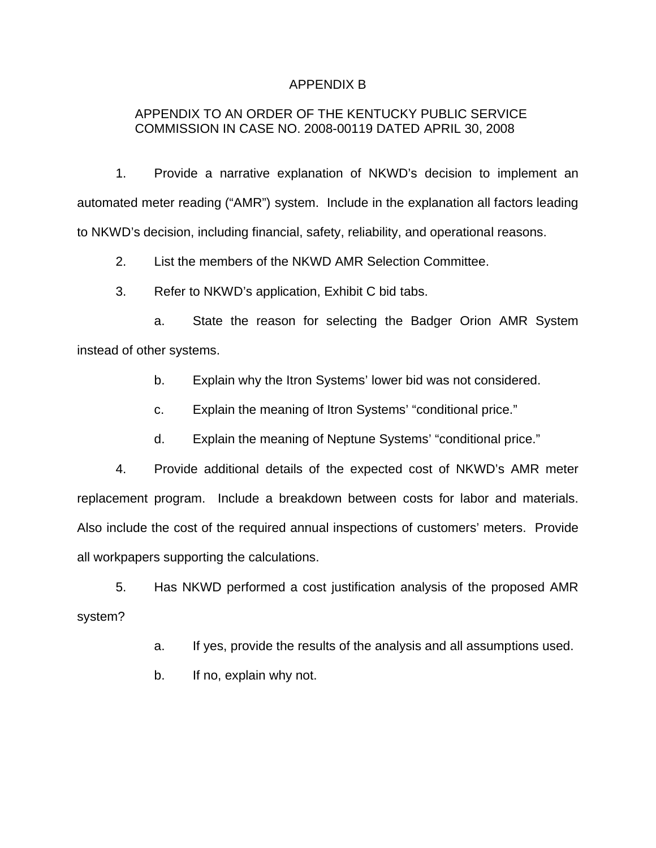### APPENDIX B

### APPENDIX TO AN ORDER OF THE KENTUCKY PUBLIC SERVICE COMMISSION IN CASE NO. 2008-00119 DATED APRIL 30, 2008

1. Provide a narrative explanation of NKWD's decision to implement an automated meter reading ("AMR") system. Include in the explanation all factors leading to NKWD's decision, including financial, safety, reliability, and operational reasons.

2. List the members of the NKWD AMR Selection Committee.

3. Refer to NKWD's application, Exhibit C bid tabs.

a. State the reason for selecting the Badger Orion AMR System instead of other systems.

b. Explain why the Itron Systems' lower bid was not considered.

c. Explain the meaning of Itron Systems' "conditional price."

d. Explain the meaning of Neptune Systems' "conditional price."

4. Provide additional details of the expected cost of NKWD's AMR meter replacement program. Include a breakdown between costs for labor and materials. Also include the cost of the required annual inspections of customers' meters. Provide all workpapers supporting the calculations.

5. Has NKWD performed a cost justification analysis of the proposed AMR system?

a. If yes, provide the results of the analysis and all assumptions used.

b. If no, explain why not.